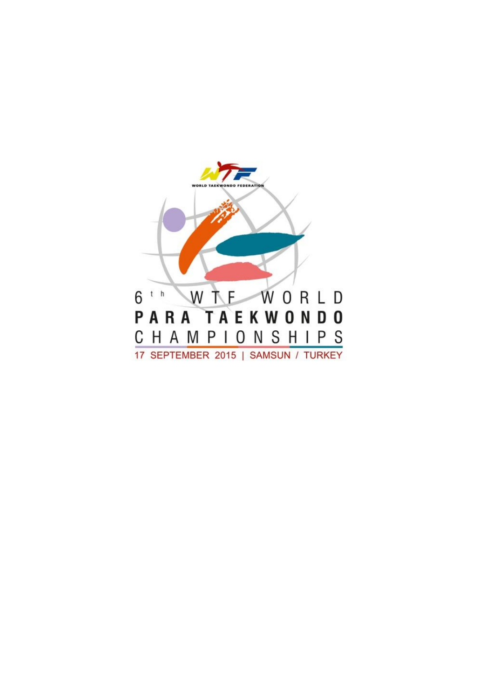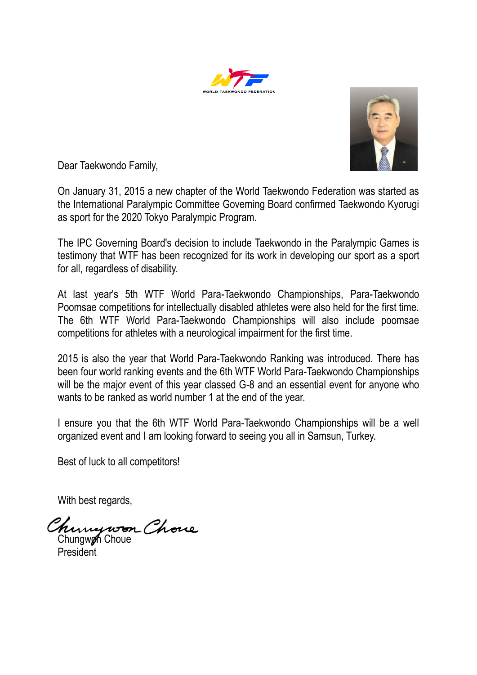



Dear Taekwondo Family,

On January 31, 2015 a new chapter of the World Taekwondo Federation was started as the International Paralympic Committee Governing Board confirmed Taekwondo Kyorugi as sport for the 2020 Tokyo Paralympic Program.

The IPC Governing Board's decision to include Taekwondo in the Paralympic Games is testimony that WTF has been recognized for its work in developing our sport as a sport for all, regardless of disability.

At last year's 5th WTF World Para-Taekwondo Championships, Para-Taekwondo Poomsae competitions for intellectually disabled athletes were also held for the first time. The 6th WTF World Para-Taekwondo Championships will also include poomsae competitions for athletes with a neurological impairment for the first time.

2015 is also the year that World Para-Taekwondo Ranking was introduced. There has been four world ranking events and the 6th WTF World Para-Taekwondo Championships will be the major event of this year classed G-8 and an essential event for anyone who wants to be ranked as world number 1 at the end of the year.

I ensure you that the 6th WTF World Para-Taekwondo Championships will be a well organized event and I am looking forward to seeing you all in Samsun, Turkey.

Best of luck to all competitors!

With best regards,

Chungwon Chove

President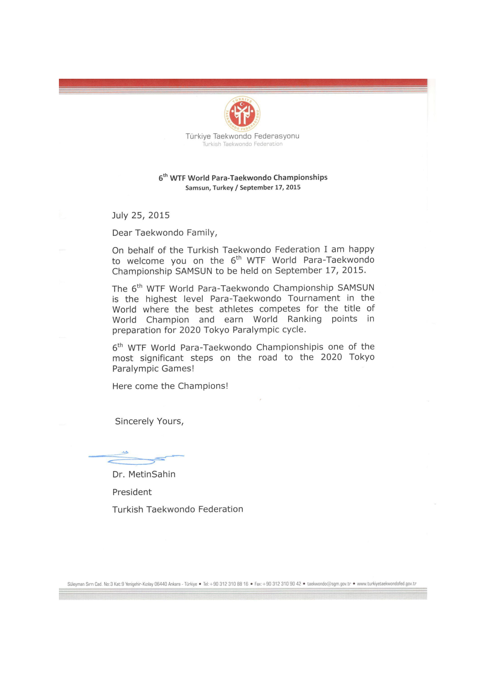

Türkiye Taekwondo Federasyonu .<br>Turkish Taekwondo Federation

## 6<sup>th</sup> WTF World Para-Taekwondo Championships Samsun, Turkey / September 17, 2015

July 25, 2015

Dear Taekwondo Family,

On behalf of the Turkish Taekwondo Federation I am happy to welcome you on the 6<sup>th</sup> WTF World Para-Taekwondo Championship SAMSUN to be held on September 17, 2015.

The 6<sup>th</sup> WTF World Para-Taekwondo Championship SAMSUN is the highest level Para-Taekwondo Tournament in the World where the best athletes competes for the title of World Champion and earn World Ranking points in preparation for 2020 Tokyo Paralympic cycle.

6<sup>th</sup> WTF World Para-Taekwondo Championshipis one of the most significant steps on the road to the 2020 Tokyo Paralympic Games!

Here come the Champions!

Sincerely Yours,

Dr. MetinSahin President Turkish Taekwondo Federation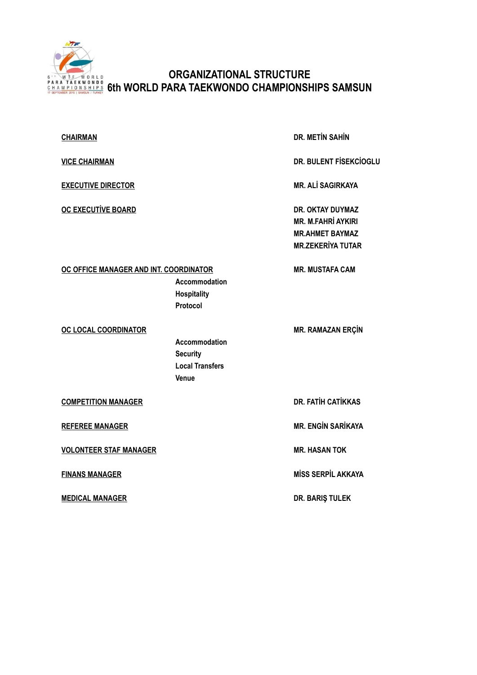

## **ORGANIZATIONAL STRUCTURE 6th WORLD PARA TAEKWONDO CHAMPIONSHIPS SAMSUN**

| <b>CHAIRMAN</b>                        |                                                                     | <b>DR. METIN SAHIN</b>                                                                                     |
|----------------------------------------|---------------------------------------------------------------------|------------------------------------------------------------------------------------------------------------|
| <b>VICE CHAIRMAN</b>                   |                                                                     | <b>DR. BULENT FISEKCIOGLU</b>                                                                              |
| <b>EXECUTIVE DIRECTOR</b>              |                                                                     | <b>MR. ALİ SAGIRKAYA</b>                                                                                   |
| <b>OC EXECUTIVE BOARD</b>              |                                                                     | <b>DR. OKTAY DUYMAZ</b><br><b>MR. M.FAHRİ AYKIRI</b><br><b>MR.AHMET BAYMAZ</b><br><b>MR.ZEKERİYA TUTAR</b> |
| OC OFFICE MANAGER AND INT. COORDINATOR | Accommodation<br><b>Hospitality</b><br>Protocol                     | <b>MR. MUSTAFA CAM</b>                                                                                     |
| OC LOCAL COORDINATOR                   | Accommodation<br><b>Security</b><br><b>Local Transfers</b><br>Venue | <b>MR. RAMAZAN ERÇİN</b>                                                                                   |
| <b>COMPETITION MANAGER</b>             |                                                                     | <b>DR. FATİH CATİKKAS</b>                                                                                  |
| <b>REFEREE MANAGER</b>                 |                                                                     | <b>MR. ENGIN SARIKAYA</b>                                                                                  |
| <b>VOLONTEER STAF MANAGER</b>          |                                                                     | <b>MR. HASAN TOK</b>                                                                                       |
| <b>FINANS MANAGER</b>                  |                                                                     | <b>MISS SERPIL AKKAYA</b>                                                                                  |
|                                        |                                                                     |                                                                                                            |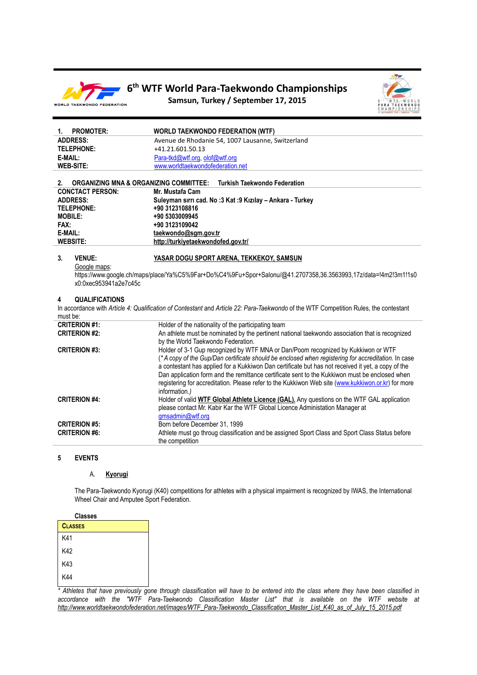

## **6 th WTF World Para-Taekwondo Championships Samsun, Turkey / September 17, 2015**



| 1.                   | <b>PROMOTER:</b>                                  | <b>WORLD TAEKWONDO FEDERATION (WTF)</b>                                                                                               |
|----------------------|---------------------------------------------------|---------------------------------------------------------------------------------------------------------------------------------------|
| <b>ADDRESS:</b>      |                                                   | Avenue de Rhodanie 54, 1007 Lausanne, Switzerland                                                                                     |
| <b>TELEPHONE:</b>    |                                                   | +41.21.601.50.13                                                                                                                      |
| E-MAIL:              |                                                   | Para-tkd@wtf.org, olof@wtf.org                                                                                                        |
| <b>WEB-SITE:</b>     |                                                   | www.worldtaekwondofederation.net                                                                                                      |
|                      |                                                   |                                                                                                                                       |
| 2.                   | <b>ORGANIZING MNA &amp; ORGANIZING COMMITTEE:</b> | <b>Turkish Taekwondo Federation</b>                                                                                                   |
|                      | <b>CONCTACT PERSON:</b>                           | Mr. Mustafa Cam                                                                                                                       |
| <b>ADDRESS:</b>      |                                                   | Suleyman sırrı cad. No :3 Kat :9 Kızılay - Ankara - Turkey                                                                            |
| <b>TELEPHONE:</b>    |                                                   | +90 3123108816                                                                                                                        |
| <b>MOBILE:</b>       |                                                   | +90 5303009945                                                                                                                        |
| FAX:                 |                                                   | +90 3123109042                                                                                                                        |
| E-MAIL:              |                                                   | taekwondo@sgm.gov.tr                                                                                                                  |
| <b>WEBSITE:</b>      |                                                   | http://turkiyetaekwondofed.gov.tr/                                                                                                    |
|                      |                                                   |                                                                                                                                       |
| 3.                   | <b>VENUE:</b>                                     | YASAR DOGU SPORT ARENA, TEKKEKOY, SAMSUN                                                                                              |
|                      | Google maps:                                      |                                                                                                                                       |
|                      | x0:0xec953941a2e7c45c                             | https://www.google.ch/maps/place/Ya%C5%9Far+Do%C4%9Fu+Spor+Salonu/@41.2707358,36.3563993,17z/data=!4m2!3m1!1s0                        |
|                      |                                                   |                                                                                                                                       |
| 4                    | <b>QUALIFICATIONS</b>                             |                                                                                                                                       |
|                      |                                                   | In accordance with Article 4: Qualification of Contestant and Article 22: Para-Taekwondo of the WTF Competition Rules, the contestant |
| must be:             |                                                   |                                                                                                                                       |
| <b>CRITERION #1:</b> |                                                   | Holder of the nationality of the participating team                                                                                   |
| <b>CRITERION #2:</b> |                                                   | An athlete must be nominated by the pertinent national taekwondo association that is recognized                                       |
|                      |                                                   | by the World Taekwondo Federation.                                                                                                    |
| <b>CRITERION #3:</b> |                                                   | Holder of 3-1 Gup recognized by WTF MNA or Dan/Poom recognized by Kukkiwon or WTF                                                     |
|                      |                                                   | (*A copy of the Gup/Dan certificate should be enclosed when registering for accreditation. In case                                    |
|                      |                                                   | a contestant has applied for a Kukkiwon Dan certificate but has not received it yet, a copy of the                                    |
|                      |                                                   | Dan application form and the remittance certificate sent to the Kukkiwon must be enclosed when                                        |
|                      |                                                   | registering for accreditation. Please refer to the Kukkiwon Web site (www.kukkiwon.or.kr) for more                                    |
|                      |                                                   | information.)                                                                                                                         |
| <b>CRITERION #4:</b> |                                                   | Holder of valid WTF Global Athlete Licence (GAL). Any questions on the WTF GAL application                                            |
|                      |                                                   | please contact Mr. Kabir Kar the WTF Global Licence Administation Manager at                                                          |
|                      |                                                   | gmsadmin@wtf.org                                                                                                                      |
| <b>CRITERION #5:</b> |                                                   | Born before December 31, 1999                                                                                                         |
| <b>CRITERION #6:</b> |                                                   | Athlete must go throug classification and be assigned Sport Class and Sport Class Status before                                       |
|                      |                                                   | the competition                                                                                                                       |

## **5 EVENTS**

## A. **Kyorugi**

The Para-Taekwondo Kyorugi (K40) competitions for athletes with a physical impairment is recognized by IWAS, the International Wheel Chair and Amputee Sport Federation.

| <b>Classes</b> |  |
|----------------|--|
| <b>CLASSES</b> |  |
| K41            |  |
| K42            |  |
| K43            |  |
| K44            |  |

*\* Athletes that have previously gone through classification will have to be entered into the class where they have been classified in accordance with the "WTF Para-Taekwondo Classification Master List" that is available on the WTF website at http://www.worldtaekwondofederation.net/images/WTF\_Para-Taekwondo\_Classification\_Master\_List\_K40\_as\_of\_July\_15\_2015.pdf*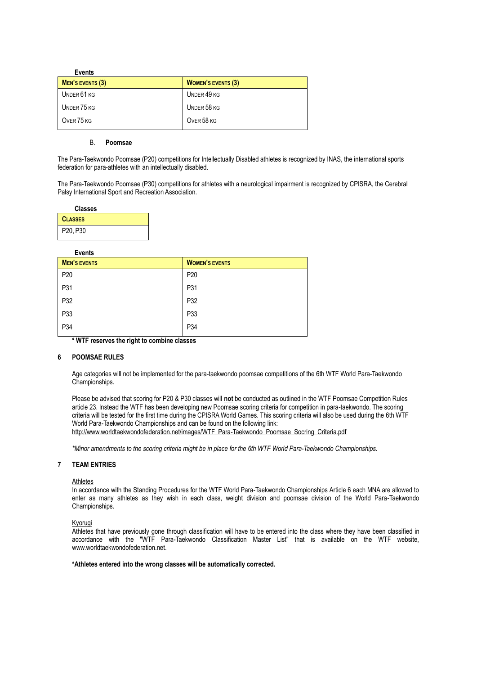| <b>Events</b>    |                           |
|------------------|---------------------------|
| MEN'S EVENTS (3) | <b>WOMEN'S EVENTS (3)</b> |
| UNDER 61 KG      | UNDER 49 KG               |
| UNDER 75 KG      | UNDER 58 KG               |
| OVER 75 KG       | OVER 58 KG                |
|                  |                           |

## B. **Poomsae**

The Para-Taekwondo Poomsae (P20) competitions for Intellectually Disabled athletes is recognized by INAS, the international sports federation for para-athletes with an intellectually disabled.

The Para-Taekwondo Poomsae (P30) competitions for athletes with a neurological impairment is recognized by CPISRA, the Cerebral Palsy International Sport and Recreation Association.

| <b>Classes</b> |  |
|----------------|--|
| <b>CLASSES</b> |  |
| P20, P30       |  |

## **Events**

| <b>MEN'S EVENTS</b> | <b>WOMEN'S EVENTS</b> |
|---------------------|-----------------------|
| P20                 | P <sub>20</sub>       |
| P31                 | P31                   |
| P32                 | P32                   |
| P33                 | P33                   |
| P34                 | P34                   |
|                     |                       |

**\* WTF reserves the right to combine classes**

## **6 POOMSAE RULES**

Age categories will not be implemented for the para-taekwondo poomsae competitions of the 6th WTF World Para-Taekwondo Championships.

Please be advised that scoring for P20 & P30 classes will **not** be conducted as outlined in the WTF Poomsae Competition Rules article 23. Instead the WTF has been developing new Poomsae scoring criteria for competition in para-taekwondo. The scoring criteria will be tested for the first time during the CPISRA World Games. This scoring criteria will also be used during the 6th WTF World Para-Taekwondo Championships and can be found on the following link: http://www.worldtaekwondofederation.net/images/WTF\_Para-Taekwondo\_Poomsae\_Socring\_Criteria.pdf

*\*Minor amendments to the scoring criteria might be in place for the 6th WTF World Para-Taekwondo Championships.*

## **7 TEAM ENTRIES**

#### **Athletes**

In accordance with the Standing Procedures for the WTF World Para-Taekwondo Championships Article 6 each MNA are allowed to enter as many athletes as they wish in each class, weight division and poomsae division of the World Para-Taekwondo Championships.

#### Kyorugi

Athletes that have previously gone through classification will have to be entered into the class where they have been classified in accordance with the "WTF Para-Taekwondo Classification Master List" that is available on the WTF website, www.worldtaekwondofederation.net.

#### **\*Athletes entered into the wrong classes will be automatically corrected.**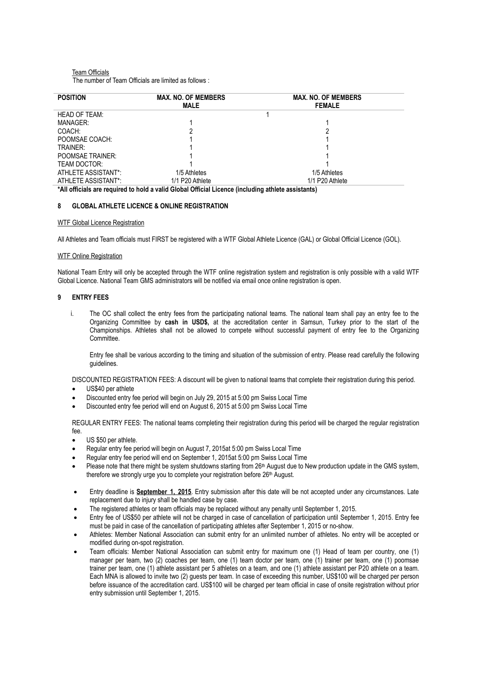## Team Officials The number of Team Officials are limited as follows :

| <b>POSITION</b>         | <b>MAX. NO. OF MEMBERS</b> | <b>MAX. NO. OF MEMBERS</b> |
|-------------------------|----------------------------|----------------------------|
|                         | <b>MALE</b>                | <b>FEMALE</b>              |
| HEAD OF TEAM:           |                            |                            |
| MANAGER:                |                            |                            |
| COACH:                  |                            |                            |
| POOMSAE COACH:          |                            |                            |
| TRAINER:                |                            |                            |
| <b>POOMSAE TRAINER:</b> |                            |                            |
| TEAM DOCTOR:            |                            |                            |
| ATHLETE ASSISTANT*:     | 1/5 Athletes               | 1/5 Athletes               |
| ATHLETE ASSISTANT*:     | 1/1 P20 Athlete            | 1/1 P20 Athlete            |

**\*All officials are required to hold a valid Global Official Licence (including athlete assistants)**

## **8 GLOBAL ATHLETE LICENCE & ONLINE REGISTRATION**

## WTF Global Licence Registration

All Athletes and Team officials must FIRST be registered with a WTF Global Athlete Licence (GAL) or Global Official Licence (GOL).

#### WTF Online Registration

National Team Entry will only be accepted through the WTF online registration system and registration is only possible with a valid WTF Global Licence. National Team GMS administrators will be notified via email once online registration is open.

## **9 ENTRY FEES**

i. The OC shall collect the entry fees from the participating national teams. The national team shall pay an entry fee to the Organizing Committee by **cash in USD\$,** at the accreditation center in Samsun, Turkey prior to the start of the Championships. Athletes shall not be allowed to compete without successful payment of entry fee to the Organizing Committee.

Entry fee shall be various according to the timing and situation of the submission of entry. Please read carefully the following guidelines.

DISCOUNTED REGISTRATION FEES: A discount will be given to national teams that complete their registration during this period.

- US\$40 per athlete
- Discounted entry fee period will begin on July 29, 2015 at 5:00 pm Swiss Local Time
- Discounted entry fee period will end on August 6, 2015 at 5:00 pm Swiss Local Time

REGULAR ENTRY FEES: The national teams completing their registration during this period will be charged the regular registration fee.

- US \$50 per athlete.
- Regular entry fee period will begin on August 7, 2015at 5:00 pm Swiss Local Time
- Regular entry fee period will end on September 1, 2015at 5:00 pm Swiss Local Time
- Please note that there might be system shutdowns starting from 26<sup>th</sup> August due to New production update in the GMS system, therefore we strongly urge you to complete your registration before 26<sup>th</sup> August.
- Entry deadline is **September 1, 2015**. Entry submission after this date will be not accepted under any circumstances. Late replacement due to injury shall be handled case by case.
- The registered athletes or team officials may be replaced without any penalty until September 1, 2015.
- Entry fee of US\$50 per athlete will not be charged in case of cancellation of participation until September 1, 2015. Entry fee must be paid in case of the cancellation of participating athletes after September 1, 2015 or no-show.
- Athletes: Member National Association can submit entry for an unlimited number of athletes. No entry will be accepted or modified during on-spot registration.
- Team officials: Member National Association can submit entry for maximum one (1) Head of team per country, one (1) manager per team, two (2) coaches per team, one (1) team doctor per team, one (1) trainer per team, one (1) poomsae trainer per team, one (1) athlete assistant per 5 athletes on a team, and one (1) athlete assistant per P20 athlete on a team. Each MNA is allowed to invite two (2) guests per team. In case of exceeding this number, US\$100 will be charged per person before issuance of the accreditation card. US\$100 will be charged per team official in case of onsite registration without prior entry submission until September 1, 2015.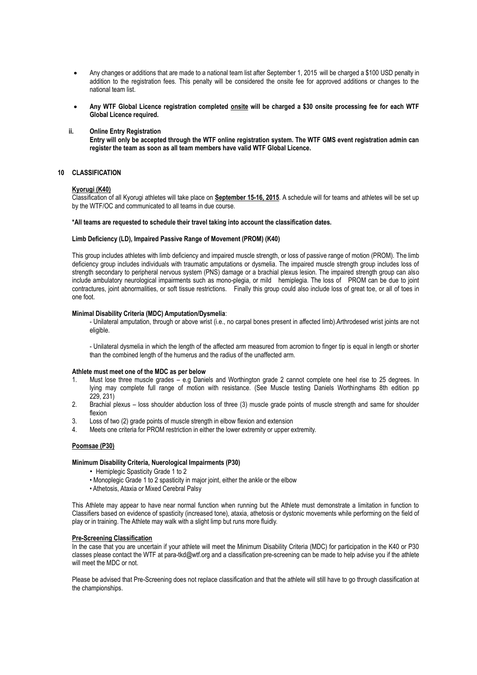- Any changes or additions that are made to a national team list after September 1, 2015 will be charged a \$100 USD penalty in addition to the registration fees. This penalty will be considered the onsite fee for approved additions or changes to the national team list.
- **Any WTF Global Licence registration completed onsite will be charged a \$30 onsite processing fee for each WTF Global Licence required.**
- **ii. Online Entry Registration**

**Entry will only be accepted through the WTF online registration system. The WTF GMS event registration admin can register the team as soon as all team members have valid WTF Global Licence.**

## **10 CLASSIFICATION**

#### **Kyorugi (K40)**

Classification of all Kyorugi athletes will take place on **September 15-16, 2015**. A schedule will for teams and athletes will be set up by the WTF/OC and communicated to all teams in due course.

#### **\*All teams are requested to schedule their travel taking into account the classification dates.**

#### **Limb Deficiency (LD), Impaired Passive Range of Movement (PROM) (K40)**

This group includes athletes with limb deficiency and impaired muscle strength, or loss of passive range of motion (PROM). The limb deficiency group includes individuals with traumatic amputations or dysmelia. The impaired muscle strength group includes loss of strength secondary to peripheral nervous system (PNS) damage or a brachial plexus lesion. The impaired strength group can also include ambulatory neurological impairments such as mono-plegia, or mild hemiplegia. The loss of PROM can be due to joint contractures, joint abnormalities, or soft tissue restrictions. Finally this group could also include loss of great toe, or all of toes in one foot.

#### **Minimal Disability Criteria (MDC) Amputation/Dysmelia**:

- Unilateral amputation, through or above wrist (i.e., no carpal bones present in affected limb).Arthrodesed wrist joints are not eligible.

- Unilateral dysmelia in which the length of the affected arm measured from acromion to finger tip is equal in length or shorter than the combined length of the humerus and the radius of the unaffected arm.

#### **Athlete must meet one of the MDC as per below**

- 1. Must lose three muscle grades e.g Daniels and Worthington grade 2 cannot complete one heel rise to 25 degrees. In lying may complete full range of motion with resistance. (See Muscle testing Daniels Worthinghams 8th edition pp 229, 231)
- 2. Brachial plexus loss shoulder abduction loss of three (3) muscle grade points of muscle strength and same for shoulder flexion
- 3. Loss of two (2) grade points of muscle strength in elbow flexion and extension
- 4. Meets one criteria for PROM restriction in either the lower extremity or upper extremity.

#### **Poomsae (P30)**

#### **Minimum Disability Criteria, Nuerological Impairments (P30)**

- Hemiplegic Spasticity Grade 1 to 2
- Monoplegic Grade 1 to 2 spasticity in major joint, either the ankle or the elbow
- Athetosis, Ataxia or Mixed Cerebral Palsy

This Athlete may appear to have near normal function when running but the Athlete must demonstrate a limitation in function to Classifiers based on evidence of spasticity (increased tone), ataxia, athetosis or dystonic movements while performing on the field of play or in training. The Athlete may walk with a slight limp but runs more fluidly.

#### **Pre-Screening Classification**

In the case that you are uncertain if your athlete will meet the Minimum Disability Criteria (MDC) for participation in the K40 or P30 classes please contact the WTF at para-tkd@wtf.org and a classification pre-screening can be made to help advise you if the athlete will meet the MDC or not.

Please be advised that Pre-Screening does not replace classification and that the athlete will still have to go through classification at the championships.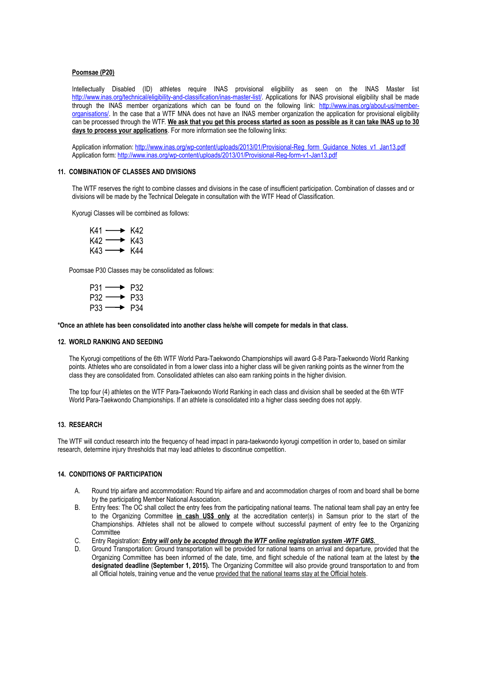#### **Poomsae (P20)**

Intellectually Disabled (ID) athletes require INAS provisional eligibility as seen on the INAS Master list [http://www.inas.org/technical/eligibility-and-classification/inas-master-list/.](http://www.inas.org/technical/eligibility-and-classification/inas-master-list/) Applications for INAS provisional eligibility shall be made through the INAS member organizations which can be found on the following link: [http://www.inas.org/about-us/member](http://www.inas.org/about-us/member-organisations/)[organisations/.](http://www.inas.org/about-us/member-organisations/) In the case that a WTF MNA does not have an INAS member organization the application for provisional eligibility can be processed through the WTF. **We ask that you get this process started as soon as possible as it can take INAS up to 30 days to process your applications**. For more information see the following links:

Application information: [http://www.inas.org/wp-content/uploads/2013/01/Provisional-Reg\\_form\\_Guidance\\_Notes\\_v1\\_Jan13.pdf](http://www.inas.org/wp-content/uploads/2013/01/Provisional-Reg_form_Guidance_Notes_v1_Jan13.pdf) Application form:<http://www.inas.org/wp-content/uploads/2013/01/Provisional-Reg-form-v1-Jan13.pdf>

#### **11. COMBINATION OF CLASSES AND DIVISIONS**

The WTF reserves the right to combine classes and divisions in the case of insufficient participation. Combination of classes and or divisions will be made by the Technical Delegate in consultation with the WTF Head of Classification.

Kyorugi Classes will be combined as follows:

| $K41 \longrightarrow K42$ |  |
|---------------------------|--|
| $K42 \longrightarrow K43$ |  |
| $K43 \longrightarrow K44$ |  |

Poomsae P30 Classes may be consolidated as follows:

| $P31 \longrightarrow P32$ |  |
|---------------------------|--|
| $P32 \longrightarrow P33$ |  |
| $P33 \longrightarrow P34$ |  |

**\*Once an athlete has been consolidated into another class he/she will compete for medals in that class.**

#### **12. WORLD RANKING AND SEEDING**

The Kyorugi competitions of the 6th WTF World Para-Taekwondo Championships will award G-8 Para-Taekwondo World Ranking points. Athletes who are consolidated in from a lower class into a higher class will be given ranking points as the winner from the class they are consolidated from. Consolidated athletes can also earn ranking points in the higher division.

The top four (4) athletes on the WTF Para-Taekwondo World Ranking in each class and division shall be seeded at the 6th WTF World Para-Taekwondo Championships. If an athlete is consolidated into a higher class seeding does not apply.

## **13. RESEARCH**

The WTF will conduct research into the frequency of head impact in para-taekwondo kyorugi competition in order to, based on similar research, determine injury thresholds that may lead athletes to discontinue competition.

## **14. CONDITIONS OF PARTICIPATION**

- A. Round trip airfare and accommodation: Round trip airfare and and accommodation charges of room and board shall be borne by the participating Member National Association.
- B. Entry fees: The OC shall collect the entry fees from the participating national teams. The national team shall pay an entry fee to the Organizing Committee **in cash US\$ only** at the accreditation center(s) in Samsun prior to the start of the Championships. Athletes shall not be allowed to compete without successful payment of entry fee to the Organizing **Committee**
- C. Entry Registration: *Entry will only be accepted through the WTF online registration system -WTF GMS.*
- D. Ground Transportation: Ground transportation will be provided for national teams on arrival and departure, provided that the Organizing Committee has been informed of the date, time, and flight schedule of the national team at the latest by **the designated deadline (September 1, 2015).** The Organizing Committee will also provide ground transportation to and from all Official hotels, training venue and the venue provided that the national teams stay at the Official hotels.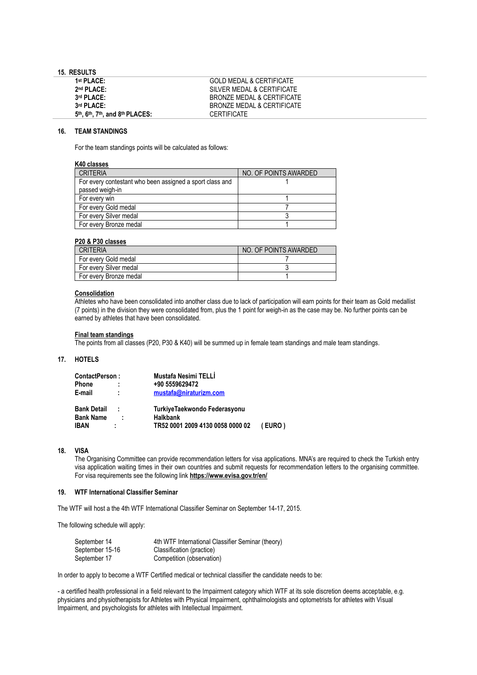## **15. RESULTS**

| <b>GOLD MEDAL &amp; CERTIFICATE</b> |
|-------------------------------------|
| SILVER MEDAL & CERTIFICATE          |
| BRONZE MEDAL & CERTIFICATE          |
| BRONZE MEDAL & CERTIFICATF          |
| <b>CERTIFICATE</b>                  |
|                                     |

## **16. TEAM STANDINGS**

For the team standings points will be calculated as follows:

| K40 classes                                                                 |                       |
|-----------------------------------------------------------------------------|-----------------------|
| <b>CRITERIA</b>                                                             | NO. OF POINTS AWARDED |
| For every contestant who been assigned a sport class and<br>passed weigh-in |                       |
| For every win                                                               |                       |
| For every Gold medal                                                        |                       |
| For every Silver medal                                                      |                       |
| For every Bronze medal                                                      |                       |

## **P20 & P30 classes**

| <b>CRITERIA</b>        | NO. OF POINTS AWARDED |
|------------------------|-----------------------|
| For every Gold medal   |                       |
| For every Silver medal |                       |
| For every Bronze medal |                       |

## **Consolidation**

Athletes who have been consolidated into another class due to lack of participation will earn points for their team as Gold medallist (7 points) in the division they were consolidated from, plus the 1 point for weigh-in as the case may be. No further points can be earned by athletes that have been consolidated.

#### **Final team standings**

The points from all classes (P20, P30 & K40) will be summed up in female team standings and male team standings.

## **17. HOTELS**

| ContactPerson:     |   | Mustafa Nesimi TELLİ             |        |
|--------------------|---|----------------------------------|--------|
| <b>Phone</b>       |   | +90 5559629472                   |        |
| E-mail             |   | mustafa@niraturizm.com           |        |
| <b>Bank Detail</b> | ÷ | TurkiyeTaekwondo Federasyonu     |        |
| <b>Bank Name</b>   | ÷ | <b>Halkbank</b>                  |        |
| IBAN               |   | TR52 0001 2009 4130 0058 0000 02 | (EURO) |

#### **18. VISA**

The Organising Committee can provide recommendation letters for visa applications. MNA's are required to check the Turkish entry visa application waiting times in their own countries and submit requests for recommendation letters to the organising committee. For visa requirements see the following link **https://www.evisa.gov.tr/en/**

#### **19. WTF International Classifier Seminar**

The WTF will host a the 4th WTF International Classifier Seminar on September 14-17, 2015.

The following schedule will apply:

| September 14    | 4th WTF International Classifier Seminar (theory) |
|-----------------|---------------------------------------------------|
| September 15-16 | Classification (practice)                         |
| September 17    | Competition (observation)                         |

In order to apply to become a WTF Certified medical or technical classifier the candidate needs to be:

- a certified health professional in a field relevant to the Impairment category which WTF at its sole discretion deems acceptable, e.g. physicians and physiotherapists for Athletes with Physical Impairment, ophthalmologists and optometrists for athletes with Visual Impairment, and psychologists for athletes with Intellectual Impairment.